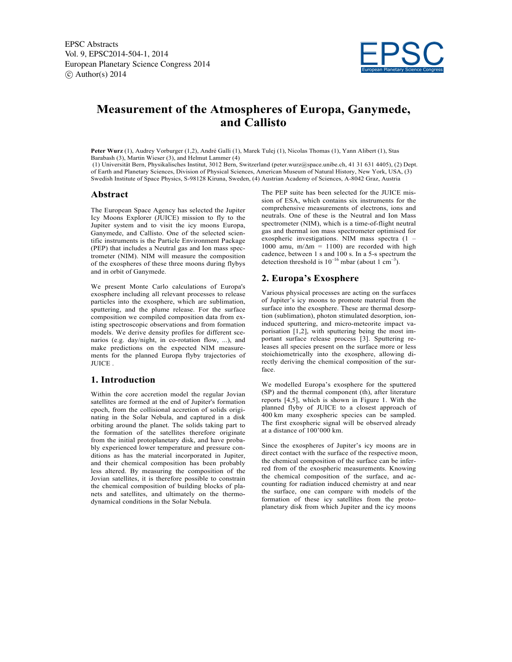EPSC Abstracts Vol. 9, EPSC2014-504-1, 2014 European Planetary Science Congress 2014  $\circ$  Author(s) 2014



# **Measurement of the Atmospheres of Europa, Ganymede, and Callisto**

**Peter Wurz** (1), Audrey Vorburger (1,2), André Galli (1), Marek Tulej (1), Nicolas Thomas (1), Yann Alibert (1), Stas Barabash (3), Martin Wieser (3), and Helmut Lammer (4)

(1) Universität Bern, Physikalisches Institut, 3012 Bern, Switzerland (peter.wurz@space.unibe.ch, 41 31 631 4405), (2) Dept. of Earth and Planetary Sciences, Division of Physical Sciences, American Museum of Natural History, New York, USA, (3) Swedish Institute of Space Physics, S-98128 Kiruna, Sweden, (4) Austrian Academy of Sciences, A-8042 Graz, Austria

#### **Abstract**

The European Space Agency has selected the Jupiter Icy Moons Explorer (JUICE) mission to fly to the Jupiter system and to visit the icy moons Europa, Ganymede, and Callisto. One of the selected scientific instruments is the Particle Environment Package (PEP) that includes a Neutral gas and Ion mass spectrometer (NIM). NIM will measure the composition of the exospheres of these three moons during flybys and in orbit of Ganymede.

We present Monte Carlo calculations of Europa's exosphere including all relevant processes to release particles into the exosphere, which are sublimation, sputtering, and the plume release. For the surface composition we compiled composition data from existing spectroscopic observations and from formation models. We derive density profiles for different scenarios (e.g. day/night, in co-rotation flow, ...), and make predictions on the expected NIM measurements for the planned Europa flyby trajectories of JUICE .

### **1. Introduction**

Within the core accretion model the regular Jovian satellites are formed at the end of Jupiter's formation epoch, from the collisional accretion of solids originating in the Solar Nebula, and captured in a disk orbiting around the planet. The solids taking part to the formation of the satellites therefore originate from the initial protoplanetary disk, and have probably experienced lower temperature and pressure conditions as has the material incorporated in Jupiter, and their chemical composition has been probably less altered. By measuring the composition of the Jovian satellites, it is therefore possible to constrain the chemical composition of building blocks of planets and satellites, and ultimately on the thermodynamical conditions in the Solar Nebula.

The PEP suite has been selected for the JUICE mission of ESA, which contains six instruments for the comprehensive measurements of electrons, ions and neutrals. One of these is the Neutral and Ion Mass spectrometer (NIM), which is a time-of-flight neutral gas and thermal ion mass spectrometer optimised for exospheric investigations. NIM mass spectra (1 – 1000 amu, m/ $\Delta m = 1100$ ) are recorded with high cadence, between 1 s and 100 s. In a 5-s spectrum the detection threshold is  $10^{-16}$  mbar (about  $1 \text{ cm}^{-3}$ ).

## **2. Europa's Exosphere**

Various physical processes are acting on the surfaces of Jupiter's icy moons to promote material from the surface into the exosphere. These are thermal desorption (sublimation), photon stimulated desorption, ioninduced sputtering, and micro-meteorite impact vaporisation [1,2], with sputtering being the most important surface release process [3]. Sputtering releases all species present on the surface more or less stoichiometrically into the exosphere, allowing directly deriving the chemical composition of the surface.

We modelled Europa's exosphere for the sputtered (SP) and the thermal component (th), after literature reports [4,5], which is shown in Figure 1. With the planned flyby of JUICE to a closest approach of 400 km many exospheric species can be sampled. The first exospheric signal will be observed already at a distance of 100'000 km.

Since the exospheres of Jupiter's icy moons are in direct contact with the surface of the respective moon. the chemical composition of the surface can be inferred from of the exospheric measurements. Knowing the chemical composition of the surface, and accounting for radiation induced chemistry at and near the surface, one can compare with models of the formation of these icy satellites from the protoplanetary disk from which Jupiter and the icy moons